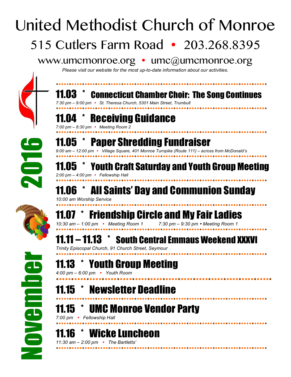## **Connecticut Chamber Choir: The Song Continues** *7:30 pm – 9:00 pm St. Theresa Church, 5301 Main Street, Trumbull* **Receiving Guidance** *7:00 pm – 8:30 pm Meeting Room 2* 11.05 \* Paper Shredding Fundraiser *9:00 am – 12:00 pm Village Square, 401 Monroe Turnpike (Route 111) – across from McDonald's* 11.05 \* Youth Craft Saturday and Youth Group Meeting *2:00 pm – 4:00 pm Fellowship Hall* 11.06 \* All Saints' Day and Communion Sunday *10:00 am Worship Service*  $*$  Friendship Circle and My Fair Ladies *10:30 am – 1:00 pm Meeting Room 1 7:30 pm – 9:30 pm Meeting Room 1* 11.11 – 11.13 \* South Central Emmaus Weekend XXXVI *Trinity Episcopal Church, 91 Church Street, Seymour* November 2016 United Methodist Church of Monroe 515 Cutlers Farm Road • 203.268.8395 www.umcmonroe.org • umc@umcmonroe.org *Please visit our website for the most up-to-date information about our activities.*



## 11.13 \* Youth Group Meeting

*4:00 pm – 6:00 pm Youth Room*

 11.15 \* Newsletter Deadline 

11.15 \* UMC Monroe Vendor Party

*7:00 pm Fellowship Hall* 

11.16 \* Wicke Luncheon *11:30 am – 2:00 pm The Bartletts'*